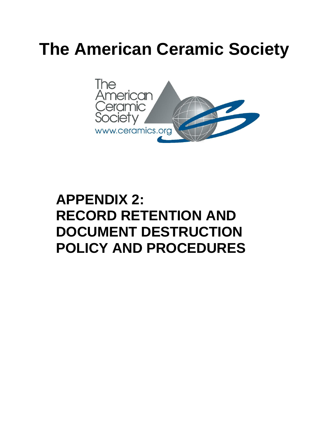# **The American Ceramic Society**



# **APPENDIX 2: RECORD RETENTION AND DOCUMENT DESTRUCTION POLICY AND PROCEDURES**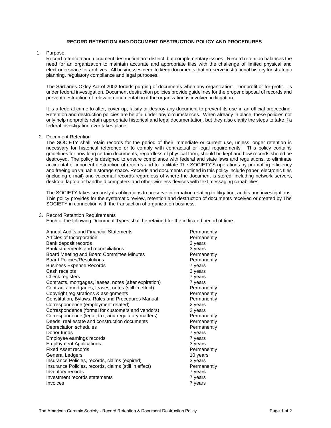## **RECORD RETENTION AND DOCUMENT DESTRUCTION POLICY AND PROCEDURES**

# 1. Purpose

Record retention and document destruction are distinct, but complementary issues. Record retention balances the need for an organization to maintain accurate and appropriate files with the challenge of limited physical and electronic space for archives. All businesses need to keep documents that preserve institutional history for strategic planning, regulatory compliance and legal purposes.

The Sarbanes-Oxley Act of 2002 forbids purging of documents when any organization – nonprofit or for-profit – is under federal investigation. Document destruction policies provide guidelines for the proper disposal of records and prevent destruction of relevant documentation if the organization is involved in litigation.

It is a federal crime to alter, cover up, falsify or destroy any document to prevent its use in an official proceeding. Retention and destruction policies are helpful under any circumstances. When already in place, these policies not only help nonprofits retain appropriate historical and legal documentation, but they also clarify the steps to take if a federal investigation ever takes place.

2. Document Retention

The SOCIETY shall retain records for the period of their immediate or current use, unless longer retention is necessary for historical reference or to comply with contractual or legal requirements. This policy contains guidelines for how long certain documents, regardless of physical form, should be kept and how records should be destroyed. The policy is designed to ensure compliance with federal and state laws and regulations, to eliminate accidental or innocent destruction of records and to facilitate The SOCIETY'S operations by promoting efficiency and freeing up valuable storage space. Records and documents outlined in this policy include paper, electronic files (including e-mail) and voicemail records regardless of where the document is stored, including network servers, desktop, laptop or handheld computers and other wireless devices with text messaging capabilities.

The SOCIETY takes seriously its obligations to preserve information relating to litigation, audits and investigations. This policy provides for the systematic review, retention and destruction of documents received or created by The SOCIETY in connection with the transaction of organization business.

3. Record Retention Requirements

Each of the following Document Types shall be retained for the indicated period of time.

| Annual Audits and Financial Statements<br>Articles of Incorporation<br>Bank deposit records<br>Bank statements and reconciliations<br>Board Meeting and Board Committee Minutes<br><b>Board Policies/Resolutions</b><br><b>Business Expense Records</b><br>Cash receipts<br>Check registers<br>Contracts, mortgages, leases, notes (after expiration) | Permanently<br>Permanently<br>3 years<br>3 years<br>Permanently<br>Permanently<br>7 years<br>3 years<br>7 years<br>7 years |
|-------------------------------------------------------------------------------------------------------------------------------------------------------------------------------------------------------------------------------------------------------------------------------------------------------------------------------------------------------|----------------------------------------------------------------------------------------------------------------------------|
| Contracts, mortgages, leases, notes (still in effect)                                                                                                                                                                                                                                                                                                 | Permanently                                                                                                                |
| Copyright registrations & assignments                                                                                                                                                                                                                                                                                                                 | Permanently                                                                                                                |
| Constitution, Bylaws, Rules and Procedures Manual                                                                                                                                                                                                                                                                                                     | Permanently                                                                                                                |
| Correspondence (employment related)                                                                                                                                                                                                                                                                                                                   | 2 years                                                                                                                    |
| Correspondence (formal for customers and vendors)                                                                                                                                                                                                                                                                                                     | 2 years                                                                                                                    |
| Correspondence (legal, tax, and regulatory matters)                                                                                                                                                                                                                                                                                                   | Permanently                                                                                                                |
| Deeds, real estate and construction documents                                                                                                                                                                                                                                                                                                         | Permanently                                                                                                                |
| Depreciation schedules                                                                                                                                                                                                                                                                                                                                | Permanently                                                                                                                |
| Donor funds                                                                                                                                                                                                                                                                                                                                           | 7 years                                                                                                                    |
| Employee earnings records                                                                                                                                                                                                                                                                                                                             | 7 years                                                                                                                    |
| <b>Employment Applications</b>                                                                                                                                                                                                                                                                                                                        | 3 years                                                                                                                    |
| <b>Fixed Asset records</b>                                                                                                                                                                                                                                                                                                                            | Permanently                                                                                                                |
| General Ledgers                                                                                                                                                                                                                                                                                                                                       | 10 years                                                                                                                   |
| Insurance Policies, records, claims (expired)                                                                                                                                                                                                                                                                                                         | 3 years                                                                                                                    |
| Insurance Policies, records, claims (still in effect)                                                                                                                                                                                                                                                                                                 | Permanently                                                                                                                |
| Inventory records                                                                                                                                                                                                                                                                                                                                     | 7 years                                                                                                                    |
| Investment records statements                                                                                                                                                                                                                                                                                                                         | 7 years                                                                                                                    |
| Invoices                                                                                                                                                                                                                                                                                                                                              | 7 years                                                                                                                    |